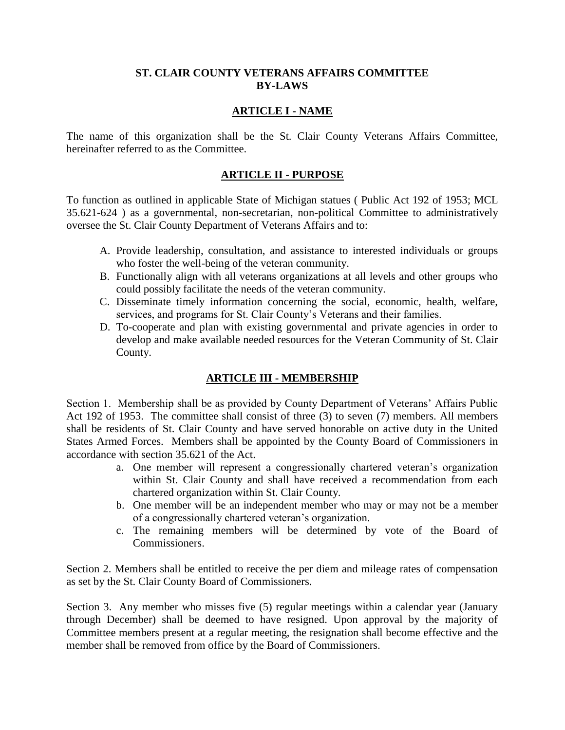#### **ST. CLAIR COUNTY VETERANS AFFAIRS COMMITTEE BY-LAWS**

#### **ARTICLE I - NAME**

The name of this organization shall be the St. Clair County Veterans Affairs Committee, hereinafter referred to as the Committee.

# **ARTICLE II - PURPOSE**

To function as outlined in applicable State of Michigan statues ( Public Act 192 of 1953; MCL 35.621-624 ) as a governmental, non-secretarian, non-political Committee to administratively oversee the St. Clair County Department of Veterans Affairs and to:

- A. Provide leadership, consultation, and assistance to interested individuals or groups who foster the well-being of the veteran community.
- B. Functionally align with all veterans organizations at all levels and other groups who could possibly facilitate the needs of the veteran community.
- C. Disseminate timely information concerning the social, economic, health, welfare, services, and programs for St. Clair County's Veterans and their families.
- D. To-cooperate and plan with existing governmental and private agencies in order to develop and make available needed resources for the Veteran Community of St. Clair County.

# **ARTICLE III - MEMBERSHIP**

Section 1. Membership shall be as provided by County Department of Veterans' Affairs Public Act 192 of 1953. The committee shall consist of three (3) to seven (7) members. All members shall be residents of St. Clair County and have served honorable on active duty in the United States Armed Forces. Members shall be appointed by the County Board of Commissioners in accordance with section 35.621 of the Act.

- a. One member will represent a congressionally chartered veteran's organization within St. Clair County and shall have received a recommendation from each chartered organization within St. Clair County.
- b. One member will be an independent member who may or may not be a member of a congressionally chartered veteran's organization.
- c. The remaining members will be determined by vote of the Board of Commissioners.

Section 2. Members shall be entitled to receive the per diem and mileage rates of compensation as set by the St. Clair County Board of Commissioners.

Section 3. Any member who misses five (5) regular meetings within a calendar year (January through December) shall be deemed to have resigned. Upon approval by the majority of Committee members present at a regular meeting, the resignation shall become effective and the member shall be removed from office by the Board of Commissioners.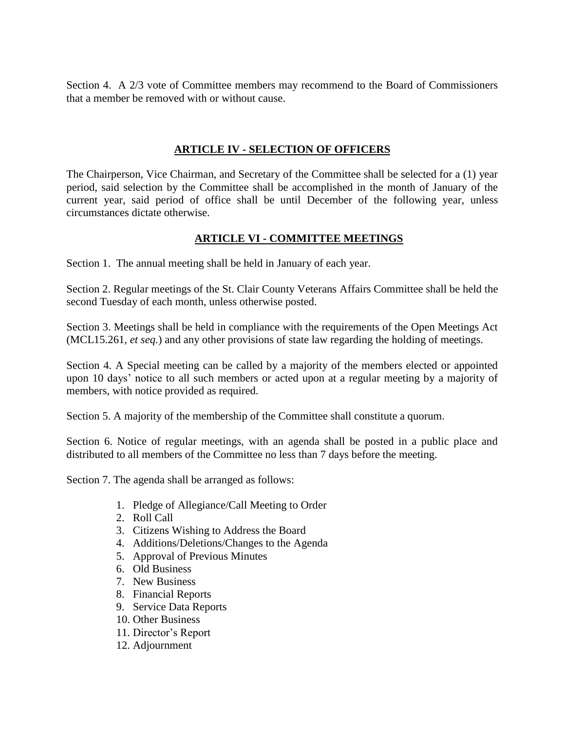Section 4. A 2/3 vote of Committee members may recommend to the Board of Commissioners that a member be removed with or without cause.

# **ARTICLE IV - SELECTION OF OFFICERS**

The Chairperson, Vice Chairman, and Secretary of the Committee shall be selected for a (1) year period, said selection by the Committee shall be accomplished in the month of January of the current year, said period of office shall be until December of the following year, unless circumstances dictate otherwise.

# **ARTICLE VI - COMMITTEE MEETINGS**

Section 1. The annual meeting shall be held in January of each year.

Section 2. Regular meetings of the St. Clair County Veterans Affairs Committee shall be held the second Tuesday of each month, unless otherwise posted.

Section 3. Meetings shall be held in compliance with the requirements of the Open Meetings Act (MCL15.261, *et seq.*) and any other provisions of state law regarding the holding of meetings.

Section 4. A Special meeting can be called by a majority of the members elected or appointed upon 10 days' notice to all such members or acted upon at a regular meeting by a majority of members, with notice provided as required.

Section 5. A majority of the membership of the Committee shall constitute a quorum.

Section 6. Notice of regular meetings, with an agenda shall be posted in a public place and distributed to all members of the Committee no less than 7 days before the meeting.

Section 7. The agenda shall be arranged as follows:

- 1. Pledge of Allegiance/Call Meeting to Order
- 2. Roll Call
- 3. Citizens Wishing to Address the Board
- 4. Additions/Deletions/Changes to the Agenda
- 5. Approval of Previous Minutes
- 6. Old Business
- 7. New Business
- 8. Financial Reports
- 9. Service Data Reports
- 10. Other Business
- 11. Director's Report
- 12. Adjournment